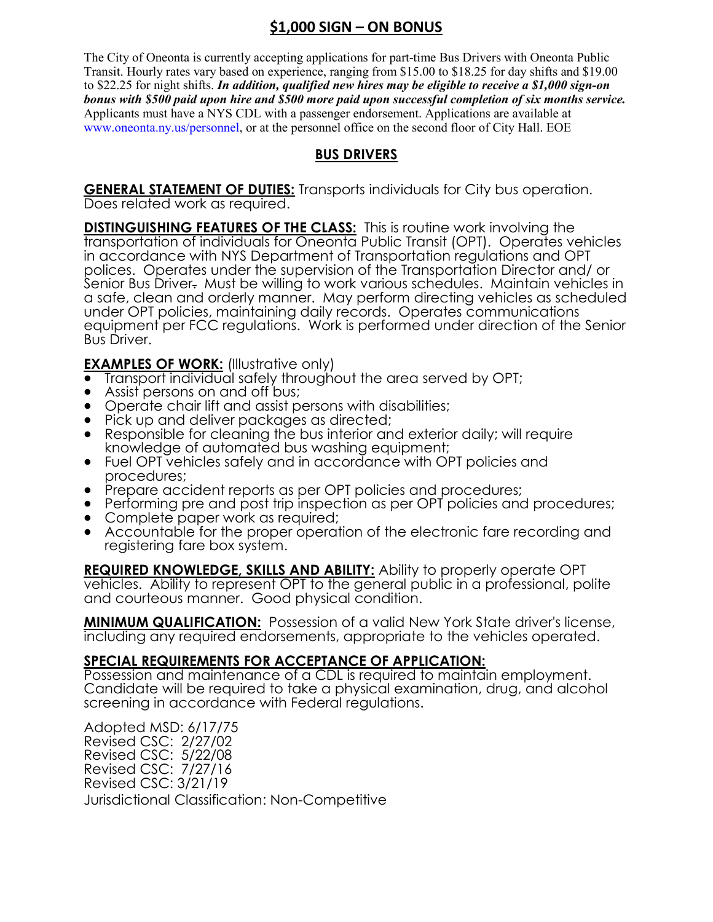# **\$1,000 SIGN – ON BONUS**

The City of Oneonta is currently accepting applications for part-time Bus Drivers with Oneonta Public Transit. Hourly rates vary based on experience, ranging from \$15.00 to \$18.25 for day shifts and \$19.00 to \$22.25 for night shifts. *In addition, qualified new hires may be eligible to receive a \$1,000 sign-on bonus with \$500 paid upon hire and \$500 more paid upon successful completion of six months service.* Applicants must have a NYS CDL with a passenger endorsement. Applications are available at www.oneonta.ny.us/personnel, or at the personnel office on the second floor of City Hall. EOE

## **BUS DRIVERS**

**GENERAL STATEMENT OF DUTIES:** Transports individuals for City bus operation. Does related work as required.

**DISTINGUISHING FEATURES OF THE CLASS:** This is routine work involving the transportation of individuals for Oneonta Public Transit (OPT). Operates vehicles in accordance with NYS Department of Transportation regulations and OPT polices. Operates under the supervision of the Transportation Director and/ or Senior Bus Driver. Must be willing to work various schedules. Maintain vehicles in a safe, clean and orderly manner. May perform directing vehicles as scheduled under OPT policies, maintaining daily records. Operates communications equipment per FCC regulations. Work is performed under direction of the Senior Bus Driver.

**EXAMPLES OF WORK:** (Illustrative only)

- Transport individual safely throughout the area served by OPT;
- Assist persons on and off bus;
- Operate chair lift and assist persons with disabilities;
- Pick up and deliver packages as directed;
- Responsible for cleaning the bus interior and exterior daily; will require knowledge of automated bus washing equipment;
- Fuel OPT vehicles safely and in accordance with OPT policies and procedures;
- Prepare accident reports as per OPT policies and procedures;
- Performing pre and post trip inspection as per OPT policies and procedures;
- Complete paper work as required;
- Accountable for the proper operation of the electronic fare recording and registering fare box system.

**REQUIRED KNOWLEDGE, SKILLS AND ABILITY:** Ability to properly operate OPT vehicles. Ability to represent OPT to the general public in a professional, polite and courteous manner. Good physical condition.

**MINIMUM QUALIFICATION:** Possession of a valid New York State driver's license, including any required endorsements, appropriate to the vehicles operated.

### **SPECIAL REQUIREMENTS FOR ACCEPTANCE OF APPLICATION:**

Possession and maintenance of a CDL is required to maintain employment. Candidate will be required to take a physical examination, drug, and alcohol screening in accordance with Federal regulations.

Adopted MSD: 6/17/75 Revised CSC: 2/27/02 Revised CSC: 5/22/08 Revised CSC: 7/27/16 Revised CSC: 3/21/19 Jurisdictional Classification: Non-Competitive